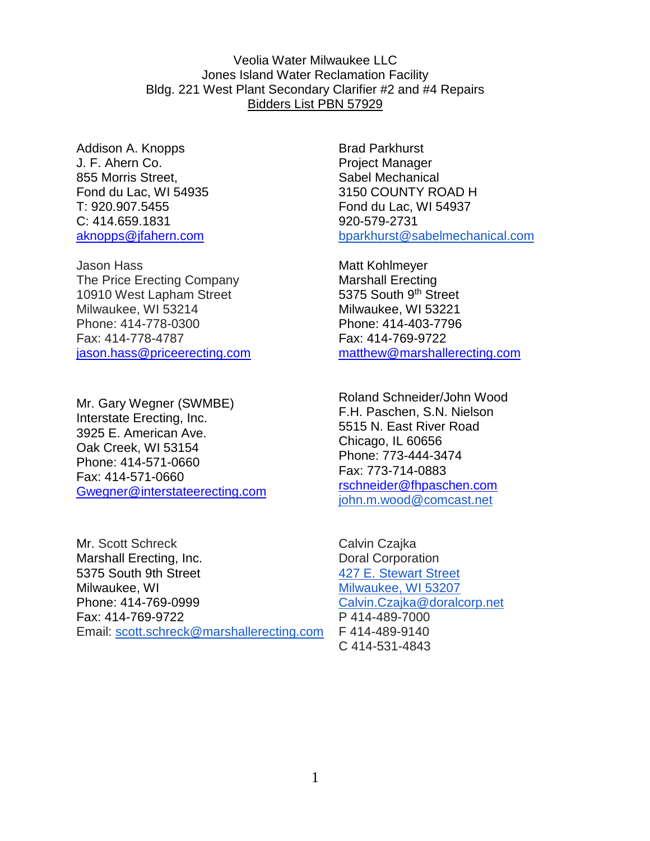Veolia Water Milwaukee LLC Jones Island Water Reclamation Facility Bldg. 221 West Plant Secondary Clarifier #2 and #4 Repairs Bidders List PBN 57929

Addison A. Knopps J. F. Ahern Co. 855 Morris Street, Fond du Lac, WI 54935 T: 920.907.5455 C: 414.659.1831 aknopps@jfahern.com

Jason Hass The Price Erecting Company 10910 West Lapham Street Milwaukee, WI 53214 Phone: 414-778-0300 Fax: 414-778-4787 jason.hass@priceerecting.com

Mr. Gary Wegner (SWMBE) Interstate Erecting, Inc. 3925 E. American Ave. Oak Creek, WI 53154 Phone: 414-571-0660 Fax: 414-571-0660 Gwegner@interstateerecting.com

Mr. Scott Schreck Marshall Erecting, Inc. 5375 South 9th Street Milwaukee, WI Phone: 414-769-0999 Fax: 414-769-9722 Email: scott.schreck@marshallerecting.com Brad Parkhurst Project Manager Sabel Mechanical 3150 COUNTY ROAD H Fond du Lac, WI 54937 920-579-2731 bparkhurst@sabelmechanical.com

Matt Kohlmeyer Marshall Erecting 5375 South 9th Street Milwaukee, WI 53221 Phone: 414-403-7796 Fax: 414-769-9722 matthew@marshallerecting.com

Roland Schneider/John Wood F.H. Paschen, S.N. Nielson 5515 N. East River Road Chicago, IL 60656 Phone: 773-444-3474 Fax: 773-714-0883 rschneider@fhpaschen.com john.m.wood@comcast.net

Calvin Czajka Doral Corporation 427 E. Stewart Street Milwaukee, WI 53207 Calvin.Czajka@doralcorp.net P 414-489-7000 F 414-489-9140 C 414-531-4843